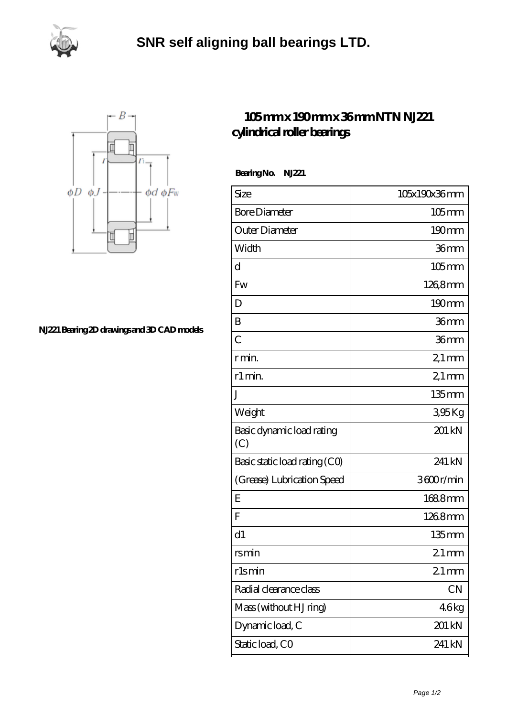



**[NJ221 Bearing 2D drawings and 3D CAD models](https://isfzr.com/pic-87152.html)**

## **[105 mm x 190 mm x 36 mm NTN NJ221](https://isfzr.com/az-87152-ntn-nj221-cylindrical-roller-bearings.html) [cylindrical roller bearings](https://isfzr.com/az-87152-ntn-nj221-cylindrical-roller-bearings.html)**

 **Bearing No. NJ221**

| Size                             | 105x190x36mm        |
|----------------------------------|---------------------|
| <b>Bore Diameter</b>             | $105$ <sub>mm</sub> |
| Outer Diameter                   | 190mm               |
| Width                            | 36mm                |
| d                                | $105$ mm            |
| Fw                               | 1268mm              |
| D                                | $190$ <sub>mm</sub> |
| B                                | 36mm                |
| $\overline{C}$                   | 36mm                |
| r min.                           | $21 \,\mathrm{mm}$  |
| r1 min.                          | $21$ mm             |
| J                                | 135mm               |
| Weight                           | 395Kg               |
| Basic dynamic load rating<br>(C) | 201 kN              |
| Basic static load rating (CO)    | 241 kN              |
| (Grease) Lubrication Speed       | 3600r/min           |
| E                                | 1688mm              |
| F                                | 1268mm              |
| d1                               | 135mm               |
| rsmin                            | $21 \,\mathrm{mm}$  |
| rlsmin                           | $21$ mm             |
| Radial clearance class           | CN                  |
| Mass (without HJ ring)           | 46kg                |
| Dynamic load, C                  | 201 kN              |
| Static load, CO                  | 241 kN              |
|                                  |                     |